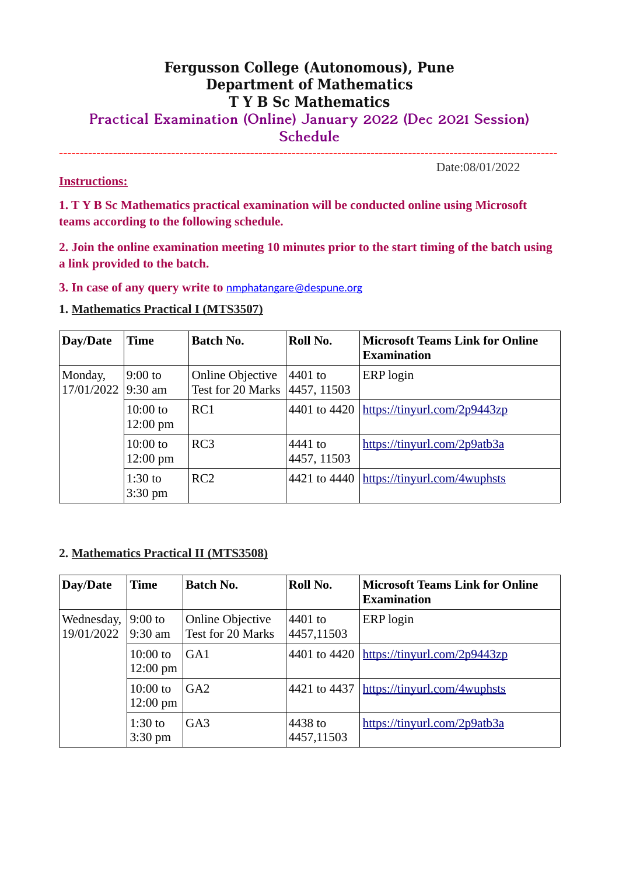## **Fergusson College (Autonomous), Pune Department of Mathematics T Y B Sc Mathematics**

**Practical Examination (Online) January 2022 (Dec 2021 Session) Schedule**

------------------------------------------------------------------------------------------------------------------------

**Instructions:**

Date:08/01/2022

**1. T Y B Sc Mathematics practical examination will be conducted online using Microsoft teams according to the following schedule.**

**2. Join the online examination meeting 10 minutes prior to the start timing of the batch using a link provided to the batch.**

**3. In case of any query write to** [nmphatangare@despune.org](mailto:nmphatangare@despune.org)

## **1. Mathematics Practical I (MTS3507)**

| Day/Date              | <b>Time</b>                      | <b>Batch No.</b>                             | Roll No.               | <b>Microsoft Teams Link for Online</b><br><b>Examination</b> |
|-----------------------|----------------------------------|----------------------------------------------|------------------------|--------------------------------------------------------------|
| Monday,<br>17/01/2022 | $9:00$ to<br>9:30 am             | <b>Online Objective</b><br>Test for 20 Marks | 4401 to<br>4457, 11503 | ERP login                                                    |
|                       | $10:00$ to<br>$12:00 \text{ pm}$ | RC1                                          | 4401 to 4420           | https://tinyurl.com/2p9443zp                                 |
|                       | $10:00$ to<br>$12:00 \text{ pm}$ | RC3                                          | 4441 to<br>4457, 11503 | https://tinyurl.com/2p9atb3a                                 |
|                       | $1:30$ to<br>$3:30$ pm           | RC2                                          | 4421 to 4440           | https://tinyurl.com/4wuphsts                                 |

## **2. Mathematics Practical II (MTS3508)**

| Day/Date                 | Time                             | <b>Batch No.</b>                             | Roll No.              | <b>Microsoft Teams Link for Online</b><br><b>Examination</b> |
|--------------------------|----------------------------------|----------------------------------------------|-----------------------|--------------------------------------------------------------|
| Wednesday,<br>19/01/2022 | $9:00$ to<br>$9:30$ am           | <b>Online Objective</b><br>Test for 20 Marks | 4401 to<br>4457,11503 | ERP login                                                    |
|                          | $10:00$ to<br>$12:00 \text{ pm}$ | GA <sub>1</sub>                              | 4401 to 4420          | https://tinyurl.com/2p9443zp                                 |
|                          | $10:00$ to<br>$12:00 \text{ pm}$ | $G_A2$                                       | 4421 to 4437          | https://tinyurl.com/4wuphsts                                 |
|                          | $1:30$ to<br>$3:30$ pm           | GA <sub>3</sub>                              | 4438 to<br>4457,11503 | https://tinyurl.com/2p9atb3a                                 |